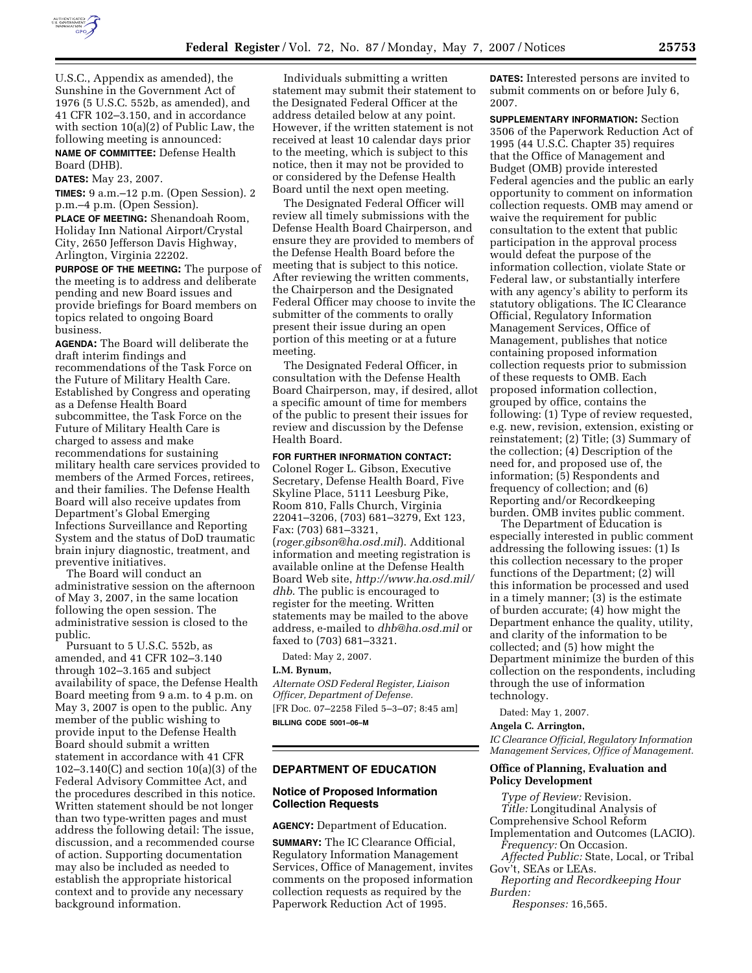

U.S.C., Appendix as amended), the Sunshine in the Government Act of 1976 (5 U.S.C. 552b, as amended), and 41 CFR 102–3.150, and in accordance with section 10(a)(2) of Public Law, the following meeting is announced:

**NAME OF COMMITTEE:** Defense Health Board (DHB).

**DATES:** May 23, 2007.

**TIMES:** 9 a.m.–12 p.m. (Open Session). 2 p.m.–4 p.m. (Open Session).

**PLACE OF MEETING:** Shenandoah Room, Holiday Inn National Airport/Crystal City, 2650 Jefferson Davis Highway, Arlington, Virginia 22202.

**PURPOSE OF THE MEETING:** The purpose of the meeting is to address and deliberate pending and new Board issues and provide briefings for Board members on topics related to ongoing Board business.

**AGENDA:** The Board will deliberate the draft interim findings and recommendations of the Task Force on the Future of Military Health Care. Established by Congress and operating as a Defense Health Board subcommittee, the Task Force on the Future of Military Health Care is charged to assess and make recommendations for sustaining military health care services provided to members of the Armed Forces, retirees, and their families. The Defense Health Board will also receive updates from Department's Global Emerging Infections Surveillance and Reporting System and the status of DoD traumatic brain injury diagnostic, treatment, and preventive initiatives.

The Board will conduct an administrative session on the afternoon of May 3, 2007, in the same location following the open session. The administrative session is closed to the public.

Pursuant to 5 U.S.C. 552b, as amended, and 41 CFR 102–3.140 through 102–3.165 and subject availability of space, the Defense Health Board meeting from 9 a.m. to 4 p.m. on May 3, 2007 is open to the public. Any member of the public wishing to provide input to the Defense Health Board should submit a written statement in accordance with 41 CFR 102–3.140(C) and section 10(a)(3) of the Federal Advisory Committee Act, and the procedures described in this notice. Written statement should be not longer than two type-written pages and must address the following detail: The issue, discussion, and a recommended course of action. Supporting documentation may also be included as needed to establish the appropriate historical context and to provide any necessary background information.

Individuals submitting a written statement may submit their statement to the Designated Federal Officer at the address detailed below at any point. However, if the written statement is not received at least 10 calendar days prior to the meeting, which is subject to this notice, then it may not be provided to or considered by the Defense Health Board until the next open meeting.

The Designated Federal Officer will review all timely submissions with the Defense Health Board Chairperson, and ensure they are provided to members of the Defense Health Board before the meeting that is subject to this notice. After reviewing the written comments, the Chairperson and the Designated Federal Officer may choose to invite the submitter of the comments to orally present their issue during an open portion of this meeting or at a future meeting.

The Designated Federal Officer, in consultation with the Defense Health Board Chairperson, may, if desired, allot a specific amount of time for members of the public to present their issues for review and discussion by the Defense Health Board.

### **FOR FURTHER INFORMATION CONTACT:**

Colonel Roger L. Gibson, Executive Secretary, Defense Health Board, Five Skyline Place, 5111 Leesburg Pike, Room 810, Falls Church, Virginia 22041–3206, (703) 681–3279, Ext 123, Fax: (703) 681–3321,

(*roger.gibson@ha.osd.mil*). Additional information and meeting registration is available online at the Defense Health Board Web site, *http://www.ha.osd.mil/ dhb*. The public is encouraged to register for the meeting. Written statements may be mailed to the above address, e-mailed to *dhb@ha.osd.mil* or faxed to (703) 681–3321.

Dated: May 2, 2007.

#### **L.M. Bynum,**

*Alternate OSD Federal Register, Liaison Officer, Department of Defense.*  [FR Doc. 07–2258 Filed 5–3–07; 8:45 am] **BILLING CODE 5001–06–M** 

# **DEPARTMENT OF EDUCATION**

# **Notice of Proposed Information Collection Requests**

**AGENCY:** Department of Education.

**SUMMARY:** The IC Clearance Official, Regulatory Information Management Services, Office of Management, invites comments on the proposed information collection requests as required by the Paperwork Reduction Act of 1995.

**DATES:** Interested persons are invited to submit comments on or before July 6, 2007.

**SUPPLEMENTARY INFORMATION:** Section 3506 of the Paperwork Reduction Act of 1995 (44 U.S.C. Chapter 35) requires that the Office of Management and Budget (OMB) provide interested Federal agencies and the public an early opportunity to comment on information collection requests. OMB may amend or waive the requirement for public consultation to the extent that public participation in the approval process would defeat the purpose of the information collection, violate State or Federal law, or substantially interfere with any agency's ability to perform its statutory obligations. The IC Clearance Official, Regulatory Information Management Services, Office of Management, publishes that notice containing proposed information collection requests prior to submission of these requests to OMB. Each proposed information collection, grouped by office, contains the following: (1) Type of review requested, e.g. new, revision, extension, existing or reinstatement; (2) Title; (3) Summary of the collection; (4) Description of the need for, and proposed use of, the information; (5) Respondents and frequency of collection; and (6) Reporting and/or Recordkeeping burden. OMB invites public comment.

The Department of Education is especially interested in public comment addressing the following issues: (1) Is this collection necessary to the proper functions of the Department; (2) will this information be processed and used in a timely manner; (3) is the estimate of burden accurate; (4) how might the Department enhance the quality, utility, and clarity of the information to be collected; and (5) how might the Department minimize the burden of this collection on the respondents, including through the use of information technology.

Dated: May 1, 2007.

**Angela C. Arrington,** 

*IC Clearance Official, Regulatory Information Management Services, Office of Management.* 

## **Office of Planning, Evaluation and Policy Development**

*Type of Review:* Revision. *Title:* Longitudinal Analysis of Comprehensive School Reform

Implementation and Outcomes (LACIO). *Frequency:* On Occasion.

*Affected Public:* State, Local, or Tribal Gov't, SEAs or LEAs.

*Reporting and Recordkeeping Hour Burden:* 

*Responses:* 16,565.